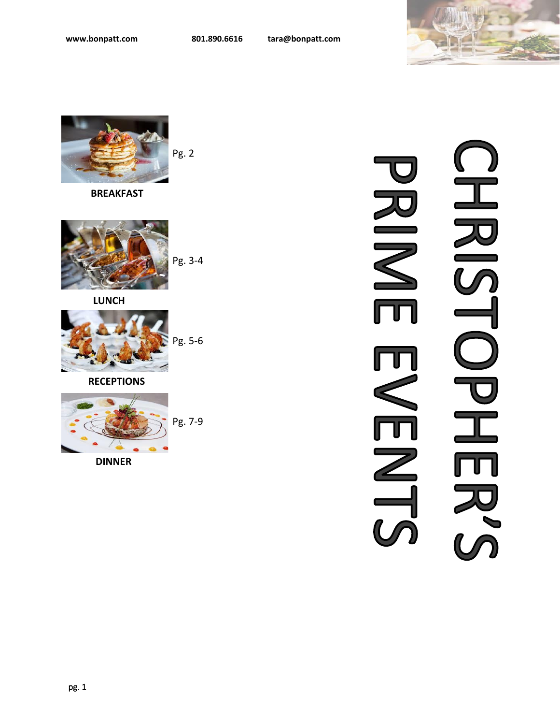



 **BREAKFAST** 



 **LUNCH**



**RECEPTIONS**



**DINNER**

# HRIS<br>Sid NIK  $\angle$  $\overline{\phantom{0}}$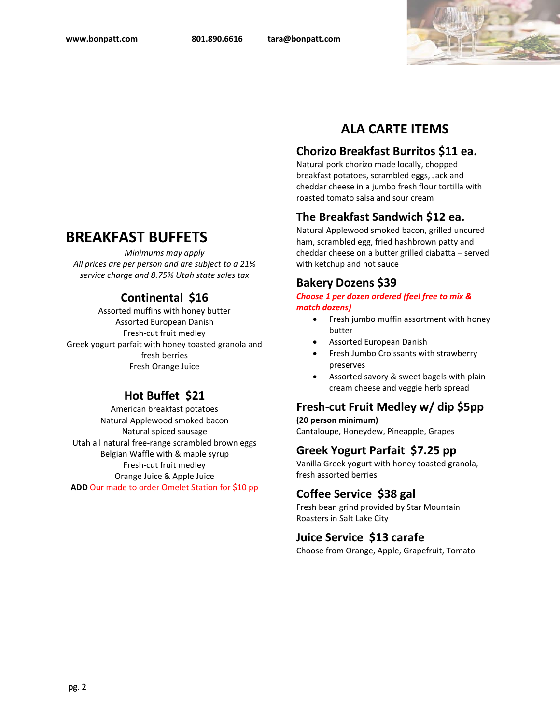

# **BREAKFAST BUFFETS**

*Minimums may apply All prices are per person and are subject to a 21% service charge and 8.75% Utah state sales tax*

## **Continental \$16**

Assorted muffins with honey butter Assorted European Danish Fresh-cut fruit medley Greek yogurt parfait with honey toasted granola and fresh berries Fresh Orange Juice

## **Hot Buffet \$21**

American breakfast potatoes Natural Applewood smoked bacon Natural spiced sausage Utah all natural free-range scrambled brown eggs Belgian Waffle with & maple syrup Fresh-cut fruit medley Orange Juice & Apple Juice **ADD** Our made to order Omelet Station for \$10 pp

# **ALA CARTE ITEMS**

## **Chorizo Breakfast Burritos \$11 ea.**

Natural pork chorizo made locally, chopped breakfast potatoes, scrambled eggs, Jack and cheddar cheese in a jumbo fresh flour tortilla with roasted tomato salsa and sour cream

## **The Breakfast Sandwich \$12 ea.**

Natural Applewood smoked bacon, grilled uncured ham, scrambled egg, fried hashbrown patty and cheddar cheese on a butter grilled ciabatta – served with ketchup and hot sauce

## **Bakery Dozens \$39**

*Choose 1 per dozen ordered (feel free to mix & match dozens)* 

- Fresh jumbo muffin assortment with honey butter
- Assorted European Danish
- Fresh Jumbo Croissants with strawberry preserves
- Assorted savory & sweet bagels with plain cream cheese and veggie herb spread

# **Fresh-cut Fruit Medley w/ dip \$5pp**

**(20 person minimum)** Cantaloupe, Honeydew, Pineapple, Grapes

## **Greek Yogurt Parfait \$7.25 pp**

Vanilla Greek yogurt with honey toasted granola, fresh assorted berries

## **Coffee Service \$38 gal**

Fresh bean grind provided by Star Mountain Roasters in Salt Lake City

## **Juice Service \$13 carafe**

Choose from Orange, Apple, Grapefruit, Tomato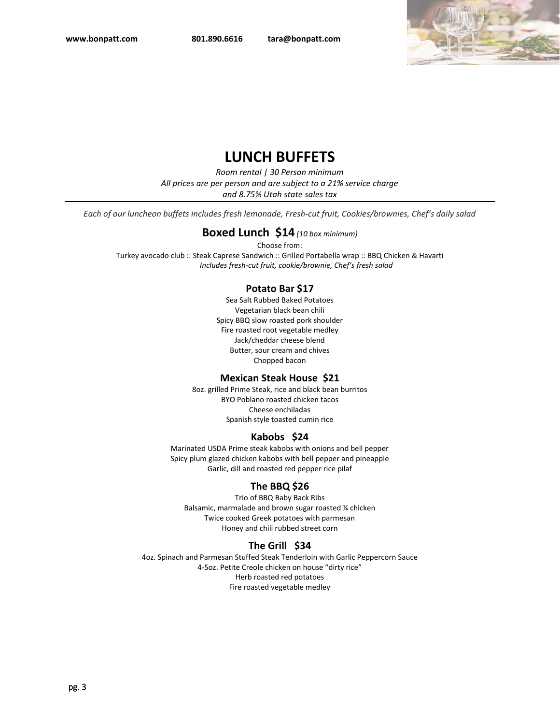

# **LUNCH BUFFETS**

*Room rental | 30 Person minimum All prices are per person and are subject to a 21% service charge and 8.75% Utah state sales tax*

*Each of our luncheon buffets includes fresh lemonade, Fresh-cut fruit, Cookies/brownies, Chef's daily salad*

#### **Boxed Lunch \$14** *(10 box minimum)*

Choose from: Turkey avocado club :: Steak Caprese Sandwich :: Grilled Portabella wrap :: BBQ Chicken & Havarti *Includes fresh-cut fruit, cookie/brownie, Chef's fresh salad*

#### **Potato Bar \$17**

Sea Salt Rubbed Baked Potatoes Vegetarian black bean chili Spicy BBQ slow roasted pork shoulder Fire roasted root vegetable medley Jack/cheddar cheese blend Butter, sour cream and chives Chopped bacon

#### **Mexican Steak House \$21**

8oz. grilled Prime Steak, rice and black bean burritos BYO Poblano roasted chicken tacos Cheese enchiladas Spanish style toasted cumin rice

#### **Kabobs \$24**

Marinated USDA Prime steak kabobs with onions and bell pepper Spicy plum glazed chicken kabobs with bell pepper and pineapple Garlic, dill and roasted red pepper rice pilaf

#### **The BBQ \$26**

Trio of BBQ Baby Back Ribs Balsamic, marmalade and brown sugar roasted ¼ chicken Twice cooked Greek potatoes with parmesan Honey and chili rubbed street corn

#### **The Grill \$34**

4oz. Spinach and Parmesan Stuffed Steak Tenderloin with Garlic Peppercorn Sauce 4-5oz. Petite Creole chicken on house "dirty rice" Herb roasted red potatoes Fire roasted vegetable medley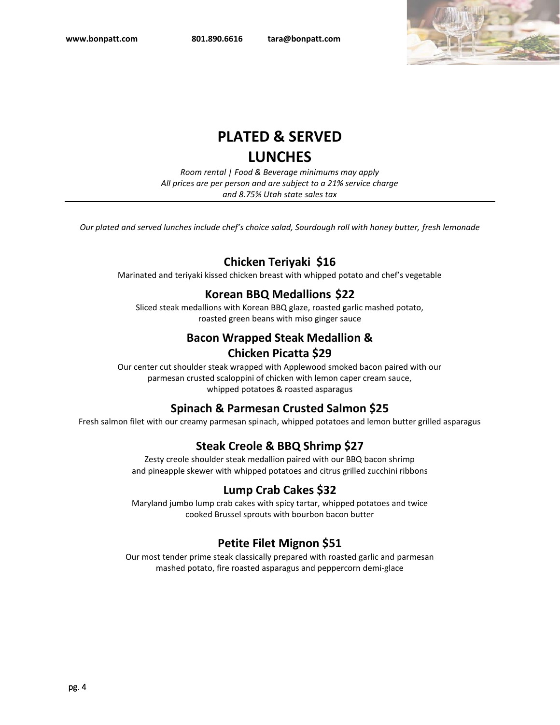

# **PLATED & SERVED LUNCHES**

*Room rental | Food & Beverage minimums may apply All prices are per person and are subject to a 21% service charge and 8.75% Utah state sales tax*

*Our plated and served lunches include chef's choice salad, Sourdough roll with honey butter, fresh lemonade*

## **Chicken Teriyaki \$16**

Marinated and teriyaki kissed chicken breast with whipped potato and chef's vegetable

## **Korean BBQ Medallions \$22**

Sliced steak medallions with Korean BBQ glaze, roasted garlic mashed potato, roasted green beans with miso ginger sauce

# **Bacon Wrapped Steak Medallion &**

## **Chicken Picatta \$29**

Our center cut shoulder steak wrapped with Applewood smoked bacon paired with our parmesan crusted scaloppini of chicken with lemon caper cream sauce, whipped potatoes & roasted asparagus

## **Spinach & Parmesan Crusted Salmon \$25**

Fresh salmon filet with our creamy parmesan spinach, whipped potatoes and lemon butter grilled asparagus

## **Steak Creole & BBQ Shrimp \$27**

Zesty creole shoulder steak medallion paired with our BBQ bacon shrimp and pineapple skewer with whipped potatoes and citrus grilled zucchini ribbons

## **Lump Crab Cakes \$32**

Maryland jumbo lump crab cakes with spicy tartar, whipped potatoes and twice cooked Brussel sprouts with bourbon bacon butter

## **Petite Filet Mignon \$51**

Our most tender prime steak classically prepared with roasted garlic and parmesan mashed potato, fire roasted asparagus and peppercorn demi-glace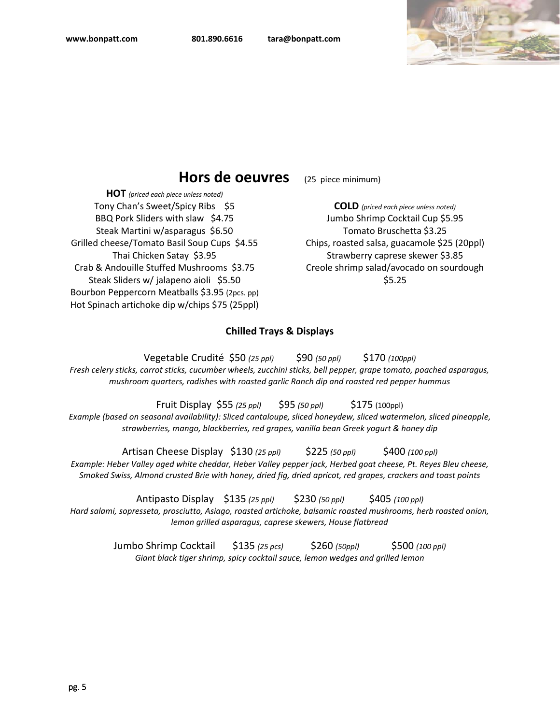

## **Hors de oeuvres** (25 piece minimum)

**HOT** *(priced each piece unless noted)* Tony Chan's Sweet/Spicy Ribs \$5 BBQ Pork Sliders with slaw \$4.75 Steak Martini w/asparagus \$6.50 Grilled cheese/Tomato Basil Soup Cups \$4.55 Thai Chicken Satay \$3.95 Crab & Andouille Stuffed Mushrooms \$3.75 Steak Sliders w/ jalapeno aioli \$5.50 Bourbon Peppercorn Meatballs \$3.95 (2pcs. pp) Hot Spinach artichoke dip w/chips \$75 (25ppl)

**COLD** *(priced each piece unless noted)* Jumbo Shrimp Cocktail Cup \$5.95 Tomato Bruschetta \$3.25 Chips, roasted salsa, guacamole \$25 (20ppl) Strawberry caprese skewer \$3.85 Creole shrimp salad/avocado on sourdough \$5.25

#### **Chilled Trays & Displays**

Vegetable Crudité \$50 *(25 ppl)* \$90 *(50 ppl)* \$170 *(100ppl) Fresh celery sticks, carrot sticks, cucumber wheels, zucchini sticks, bell pepper, grape tomato, poached asparagus, mushroom quarters, radishes with roasted garlic Ranch dip and roasted red pepper hummus*

Fruit Display \$55 *(25 ppl)* \$95 *(50 ppl)* \$175 (100ppl) *Example (based on seasonal availability): Sliced cantaloupe, sliced honeydew, sliced watermelon, sliced pineapple, strawberries, mango, blackberries, red grapes, vanilla bean Greek yogurt & honey dip*

Artisan Cheese Display \$130 *(25 ppl)* \$225 *(50 ppl)* \$400 *(100 ppl) Example: Heber Valley aged white cheddar, Heber Valley pepper jack, Herbed goat cheese, Pt. Reyes Bleu cheese, Smoked Swiss, Almond crusted Brie with honey, dried fig, dried apricot, red grapes, crackers and toast points*

Antipasto Display \$135 *(25 ppl)* \$230 *(50 ppl)* \$405 *(100 ppl)*

*Hard salami, sopresseta, prosciutto, Asiago, roasted artichoke, balsamic roasted mushrooms, herb roasted onion, lemon grilled asparagus, caprese skewers, House flatbread*

> Jumbo Shrimp Cocktail \$135 *(25 pcs)* \$260 *(50ppl)* \$500 *(100 ppl) Giant black tiger shrimp, spicy cocktail sauce, lemon wedges and grilled lemon*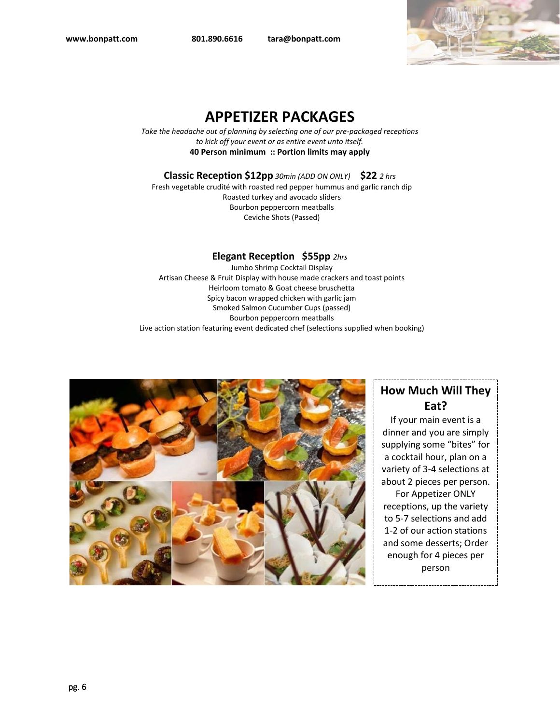**[www.bonpatt.com](http://www.bonpatt.com/) 801.890.6616 tara@bonpatt.com**



# **APPETIZER PACKAGES**

*Take the headache out of planning by selecting one of our pre-packaged receptions to kick off your event or as entire event unto itself.* **40 Person minimum :: Portion limits may apply**

**Classic Reception \$12pp** *30min (ADD ON ONLY)* **\$22** *2 hrs*

Fresh vegetable crudité with roasted red pepper hummus and garlic ranch dip Roasted turkey and avocado sliders Bourbon peppercorn meatballs Ceviche Shots (Passed)

#### **Elegant Reception \$55pp** *2hrs*

 Jumbo Shrimp Cocktail Display Artisan Cheese & Fruit Display with house made crackers and toast points Heirloom tomato & Goat cheese bruschetta Spicy bacon wrapped chicken with garlic jam Smoked Salmon Cucumber Cups (passed) Bourbon peppercorn meatballs Live action station featuring event dedicated chef (selections supplied when booking)



# **How Much Will They Eat?**

If your main event is a dinner and you are simply supplying some "bites" for a cocktail hour, plan on a variety of 3-4 selections at about 2 pieces per person. For Appetizer ONLY receptions, up the variety to 5-7 selections and add 1-2 of our action stations and some desserts; Order enough for 4 pieces per person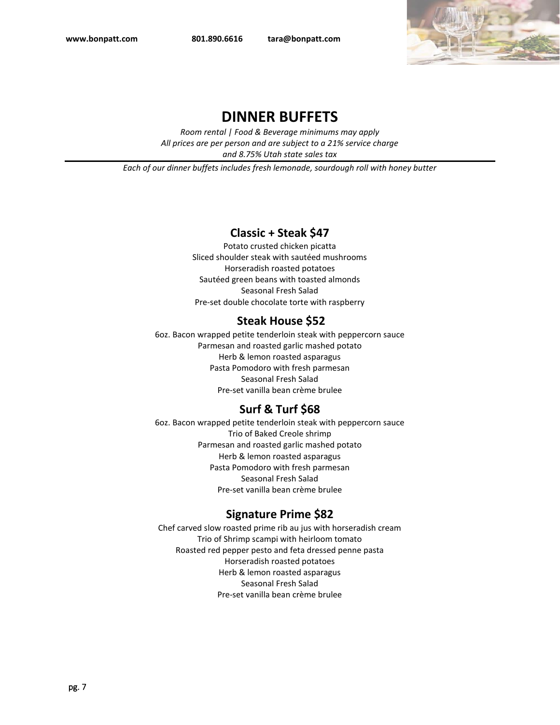**[www.bonpatt.com](http://www.bonpatt.com/) 801.890.6616 tara@bonpatt.com**



## **DINNER BUFFETS**

*Room rental | Food & Beverage minimums may apply All prices are per person and are subject to a 21% service charge and 8.75% Utah state sales tax*

*Each of our dinner buffets includes fresh lemonade, sourdough roll with honey butter*

## **Classic + Steak \$47**

Potato crusted chicken picatta Sliced shoulder steak with sautéed mushrooms Horseradish roasted potatoes Sautéed green beans with toasted almonds Seasonal Fresh Salad Pre-set double chocolate torte with raspberry

## **Steak House \$52**

6oz. Bacon wrapped petite tenderloin steak with peppercorn sauce Parmesan and roasted garlic mashed potato Herb & lemon roasted asparagus Pasta Pomodoro with fresh parmesan Seasonal Fresh Salad Pre-set vanilla bean crème brulee

## **Surf & Turf \$68**

6oz. Bacon wrapped petite tenderloin steak with peppercorn sauce Trio of Baked Creole shrimp Parmesan and roasted garlic mashed potato Herb & lemon roasted asparagus Pasta Pomodoro with fresh parmesan Seasonal Fresh Salad Pre-set vanilla bean crème brulee

## **Signature Prime \$82**

Chef carved slow roasted prime rib au jus with horseradish cream Trio of Shrimp scampi with heirloom tomato Roasted red pepper pesto and feta dressed penne pasta Horseradish roasted potatoes Herb & lemon roasted asparagus Seasonal Fresh Salad Pre-set vanilla bean crème brulee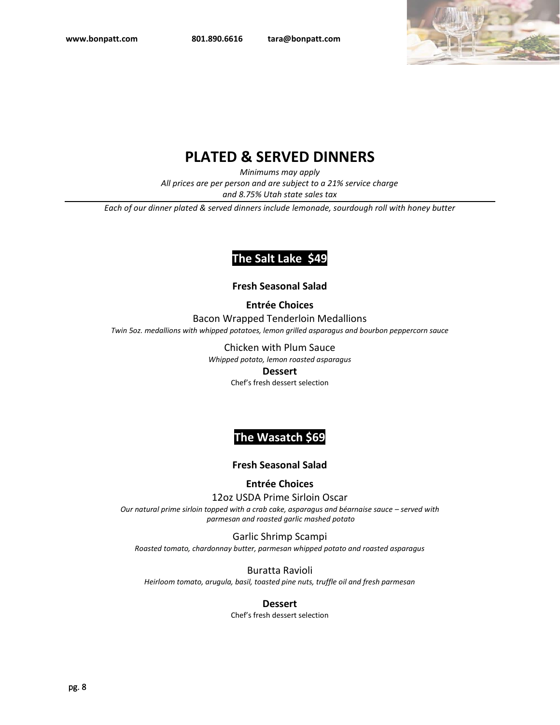

# **PLATED & SERVED DINNERS**

*Minimums may apply*

*All prices are per person and are subject to a 21% service charge* 

*and 8.75% Utah state sales tax*

*Each of our dinner plated & served dinners include lemonade, sourdough roll with honey butter*

## **The Salt Lake \$49**

#### **Fresh Seasonal Salad**

**Entrée Choices**

Bacon Wrapped Tenderloin Medallions *Twin 5oz. medallions with whipped potatoes, lemon grilled asparagus and bourbon peppercorn sauce*

Chicken with Plum Sauce

*Whipped potato, lemon roasted asparagus* 

#### **Dessert**

Chef's fresh dessert selection

## **The Wasatch \$69**

#### **Fresh Seasonal Salad**

#### **Entrée Choices**

12oz USDA Prime Sirloin Oscar

*Our natural prime sirloin topped with a crab cake, asparagus and béarnaise sauce – served with parmesan and roasted garlic mashed potato*

Garlic Shrimp Scampi *Roasted tomato, chardonnay butter, parmesan whipped potato and roasted asparagus*

Buratta Ravioli *Heirloom tomato, arugula, basil, toasted pine nuts, truffle oil and fresh parmesan*

#### **Dessert**

Chef's fresh dessert selection